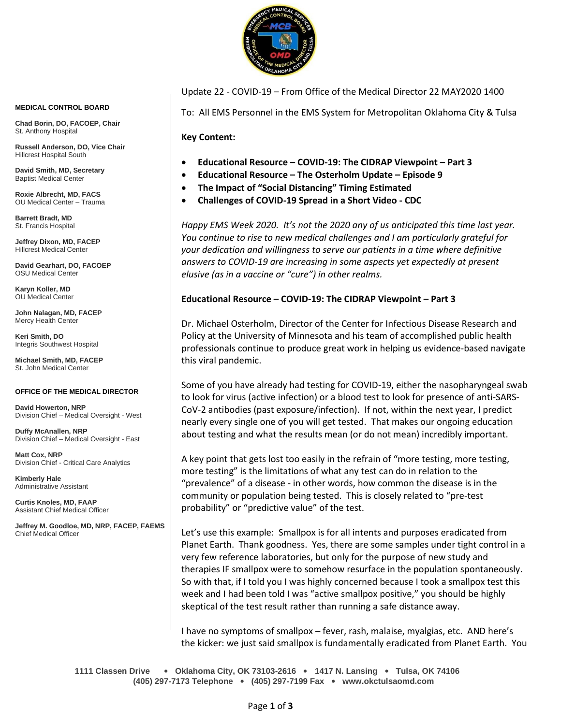

**MEDICAL CONTROL BOARD**

**Chad Borin, DO, FACOEP, Chair**  St. Anthony Hospital

**Russell Anderson, DO, Vice Chair** Hillcrest Hospital South

**David Smith, MD, Secretary** Baptist Medical Center

**Roxie Albrecht, MD, FACS** OU Medical Center – Trauma

**Barrett Bradt, MD** St. Francis Hospital

**Jeffrey Dixon, MD, FACEP** Hillcrest Medical Center

**David Gearhart, DO, FACOEP** OSU Medical Center

**Karyn Koller, MD** OU Medical Center

**John Nalagan, MD, FACEP** Mercy Health Center

**Keri Smith, DO** Integris Southwest Hospital

**Michael Smith, MD, FACEP** St. John Medical Center

#### **OFFICE OF THE MEDICAL DIRECTOR**

**David Howerton, NRP** Division Chief – Medical Oversight - West

**Duffy McAnallen, NRP** Division Chief – Medical Oversight - East

**Matt Cox, NRP** Division Chief - Critical Care Analytics

**Kimberly Hale** Administrative Assistant

**Curtis Knoles, MD, FAAP** Assistant Chief Medical Officer

**Jeffrey M. Goodloe, MD, NRP, FACEP, FAEMS** Chief Medical Officer

#### Update 22 - COVID-19 – From Office of the Medical Director 22 MAY2020 1400

To: All EMS Personnel in the EMS System for Metropolitan Oklahoma City & Tulsa

**Key Content:**

- **Educational Resource – COVID-19: The CIDRAP Viewpoint – Part 3**
- **Educational Resource – The Osterholm Update – Episode 9**
- **The Impact of "Social Distancing" Timing Estimated**
- **Challenges of COVID-19 Spread in a Short Video - CDC**

*Happy EMS Week 2020. It's not the 2020 any of us anticipated this time last year. You continue to rise to new medical challenges and I am particularly grateful for your dedication and willingness to serve our patients in a time where definitive answers to COVID-19 are increasing in some aspects yet expectedly at present elusive (as in a vaccine or "cure") in other realms.*

### **Educational Resource – COVID-19: The CIDRAP Viewpoint – Part 3**

Dr. Michael Osterholm, Director of the Center for Infectious Disease Research and Policy at the University of Minnesota and his team of accomplished public health professionals continue to produce great work in helping us evidence-based navigate this viral pandemic.

Some of you have already had testing for COVID-19, either the nasopharyngeal swab to look for virus (active infection) or a blood test to look for presence of anti-SARS-CoV-2 antibodies (past exposure/infection). If not, within the next year, I predict nearly every single one of you will get tested. That makes our ongoing education about testing and what the results mean (or do not mean) incredibly important.

A key point that gets lost too easily in the refrain of "more testing, more testing, more testing" is the limitations of what any test can do in relation to the "prevalence" of a disease - in other words, how common the disease is in the community or population being tested. This is closely related to "pre-test probability" or "predictive value" of the test.

Let's use this example: Smallpox is for all intents and purposes eradicated from Planet Earth. Thank goodness. Yes, there are some samples under tight control in a very few reference laboratories, but only for the purpose of new study and therapies IF smallpox were to somehow resurface in the population spontaneously. So with that, if I told you I was highly concerned because I took a smallpox test this week and I had been told I was "active smallpox positive," you should be highly skeptical of the test result rather than running a safe distance away.

I have no symptoms of smallpox – fever, rash, malaise, myalgias, etc. AND here's the kicker: we just said smallpox is fundamentally eradicated from Planet Earth. You

**1111 Classen Drive** • **Oklahoma City, OK 73103-2616** • **1417 N. Lansing** • **Tulsa, OK 74106 (405) 297-7173 Telephone** • **(405) 297-7199 Fax** • **www.okctulsaomd.com**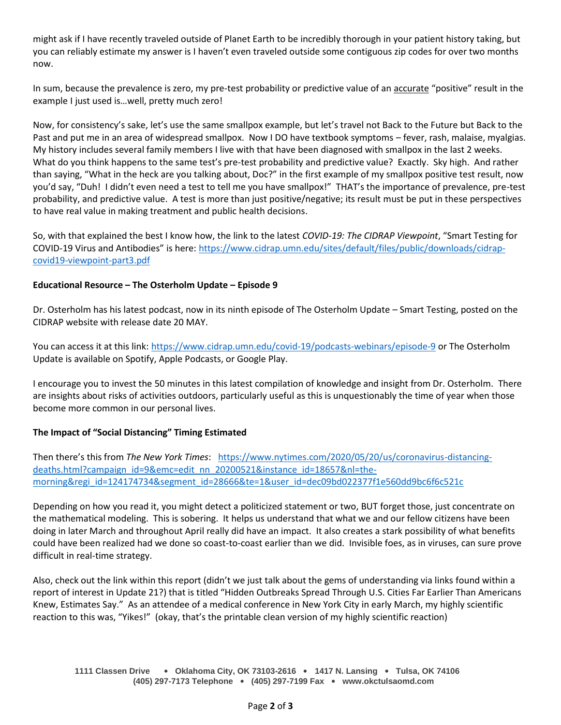might ask if I have recently traveled outside of Planet Earth to be incredibly thorough in your patient history taking, but you can reliably estimate my answer is I haven't even traveled outside some contiguous zip codes for over two months now.

In sum, because the prevalence is zero, my pre-test probability or predictive value of an accurate "positive" result in the example I just used is…well, pretty much zero!

Now, for consistency's sake, let's use the same smallpox example, but let's travel not Back to the Future but Back to the Past and put me in an area of widespread smallpox. Now I DO have textbook symptoms – fever, rash, malaise, myalgias. My history includes several family members I live with that have been diagnosed with smallpox in the last 2 weeks. What do you think happens to the same test's pre-test probability and predictive value? Exactly. Sky high. And rather than saying, "What in the heck are you talking about, Doc?" in the first example of my smallpox positive test result, now you'd say, "Duh! I didn't even need a test to tell me you have smallpox!" THAT's the importance of prevalence, pre-test probability, and predictive value. A test is more than just positive/negative; its result must be put in these perspectives to have real value in making treatment and public health decisions.

So, with that explained the best I know how, the link to the latest *COVID-19: The CIDRAP Viewpoint*, "Smart Testing for COVID-19 Virus and Antibodies" is here: [https://www.cidrap.umn.edu/sites/default/files/public/downloads/cidrap](https://www.cidrap.umn.edu/sites/default/files/public/downloads/cidrap-covid19-viewpoint-part3.pdf)[covid19-viewpoint-part3.pdf](https://www.cidrap.umn.edu/sites/default/files/public/downloads/cidrap-covid19-viewpoint-part3.pdf)

## **Educational Resource – The Osterholm Update – Episode 9**

Dr. Osterholm has his latest podcast, now in its ninth episode of The Osterholm Update – Smart Testing, posted on the CIDRAP website with release date 20 MAY.

You can access it at this link:<https://www.cidrap.umn.edu/covid-19/podcasts-webinars/episode-9> or The Osterholm Update is available on Spotify, Apple Podcasts, or Google Play.

I encourage you to invest the 50 minutes in this latest compilation of knowledge and insight from Dr. Osterholm. There are insights about risks of activities outdoors, particularly useful as this is unquestionably the time of year when those become more common in our personal lives.

# **The Impact of "Social Distancing" Timing Estimated**

Then there's this from *The New York Times*: [https://www.nytimes.com/2020/05/20/us/coronavirus-distancing](https://www.nytimes.com/2020/05/20/us/coronavirus-distancing-deaths.html?campaign_id=9&emc=edit_nn_20200521&instance_id=18657&nl=the-morning®i_id=124174734&segment_id=28666&te=1&user_id=dec09bd022377f1e560dd9bc6f6c521c)[deaths.html?campaign\\_id=9&emc=edit\\_nn\\_20200521&instance\\_id=18657&nl=the](https://www.nytimes.com/2020/05/20/us/coronavirus-distancing-deaths.html?campaign_id=9&emc=edit_nn_20200521&instance_id=18657&nl=the-morning®i_id=124174734&segment_id=28666&te=1&user_id=dec09bd022377f1e560dd9bc6f6c521c)[morning&regi\\_id=124174734&segment\\_id=28666&te=1&user\\_id=dec09bd022377f1e560dd9bc6f6c521c](https://www.nytimes.com/2020/05/20/us/coronavirus-distancing-deaths.html?campaign_id=9&emc=edit_nn_20200521&instance_id=18657&nl=the-morning®i_id=124174734&segment_id=28666&te=1&user_id=dec09bd022377f1e560dd9bc6f6c521c)

Depending on how you read it, you might detect a politicized statement or two, BUT forget those, just concentrate on the mathematical modeling. This is sobering. It helps us understand that what we and our fellow citizens have been doing in later March and throughout April really did have an impact. It also creates a stark possibility of what benefits could have been realized had we done so coast-to-coast earlier than we did. Invisible foes, as in viruses, can sure prove difficult in real-time strategy.

Also, check out the link within this report (didn't we just talk about the gems of understanding via links found within a report of interest in Update 21?) that is titled "Hidden Outbreaks Spread Through U.S. Cities Far Earlier Than Americans Knew, Estimates Say." As an attendee of a medical conference in New York City in early March, my highly scientific reaction to this was, "Yikes!" (okay, that's the printable clean version of my highly scientific reaction)